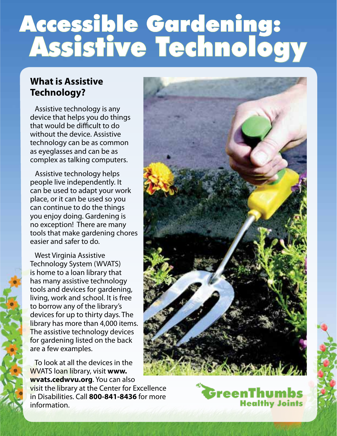## Accessible Gardening: Assistive Technology

## **What is Assistive Technology?**

Assistive technology is any device that helps you do things that would be difficult to do without the device. Assistive technology can be as common as eyeglasses and can be as complex as talking computers.

 Assistive technology helps people live independently. It can be used to adapt your work place, or it can be used so you can continue to do the things you enjoy doing. Gardening is no exception! There are many tools that make gardening chores easier and safer to do.

 West Virginia Assistive Technology System (WVATS) is home to a loan library that has many assistive technology tools and devices for gardening, living, work and school. It is free to borrow any of the library's devices for up to thirty days. The library has more than 4,000 items. The assistive technology devices for gardening listed on the back are a few examples.

 To look at all the devices in the WVATS loan library, visit **www. wvats.cedwvu.org**. You can also visit the library at the Center for Excellence in Disabilities. Call **800-841-8436** for more information.



GreenThumbs

**Healthy Joints**